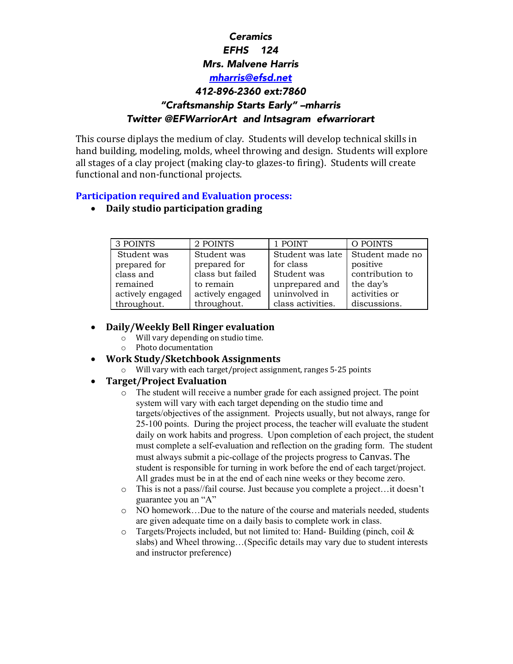# *Ceramics EFHS 124 Mrs. Malvene Harris mharris@efsd.net 412-896-2360 ext:7860 "Craftsmanship Starts Early" –mharris Twitter @EFWarriorArt and Intsagram efwarriorart*

This course diplays the medium of clay. Students will develop technical skills in hand building, modeling, molds, wheel throwing and design. Students will explore all stages of a clay project (making clay-to glazes-to firing). Students will create functional and non-functional projects.

#### **Participation required and Evaluation process:**

• **Daily studio participation grading**

| 3 POINTS         | 2 POINTS         | 1 POINT           | O POINTS                           |
|------------------|------------------|-------------------|------------------------------------|
| Student was      | Student was      |                   | Student was late   Student made no |
| prepared for     | prepared for     | for class         | positive                           |
| class and        | class but failed | Student was       | contribution to                    |
| remained         | to remain        | unprepared and    | the day's                          |
| actively engaged | actively engaged | uninvolved in     | activities or                      |
| throughout.      | throughout.      | class activities. | discussions.                       |

### • **Daily/Weekly Bell Ringer evaluation**

- $\circ$  Will vary depending on studio time.
- $\circ$  Photo documentation

#### • **Work Study/Sketchbook Assignments**

 $\circ$  Will vary with each target/project assignment, ranges 5-25 points

#### • **Target/Project Evaluation**

- o The student will receive a number grade for each assigned project. The point system will vary with each target depending on the studio time and targets/objectives of the assignment. Projects usually, but not always, range for 25-100 points. During the project process, the teacher will evaluate the student daily on work habits and progress. Upon completion of each project, the student must complete a self-evaluation and reflection on the grading form. The student must always submit a pic-collage of the projects progress to Canvas. The student is responsible for turning in work before the end of each target/project. All grades must be in at the end of each nine weeks or they become zero.
- o This is not a pass//fail course. Just because you complete a project…it doesn't guarantee you an "A"
- o NO homework…Due to the nature of the course and materials needed, students are given adequate time on a daily basis to complete work in class.
- $\circ$  Targets/Projects included, but not limited to: Hand-Building (pinch, coil & slabs) and Wheel throwing…(Specific details may vary due to student interests and instructor preference)